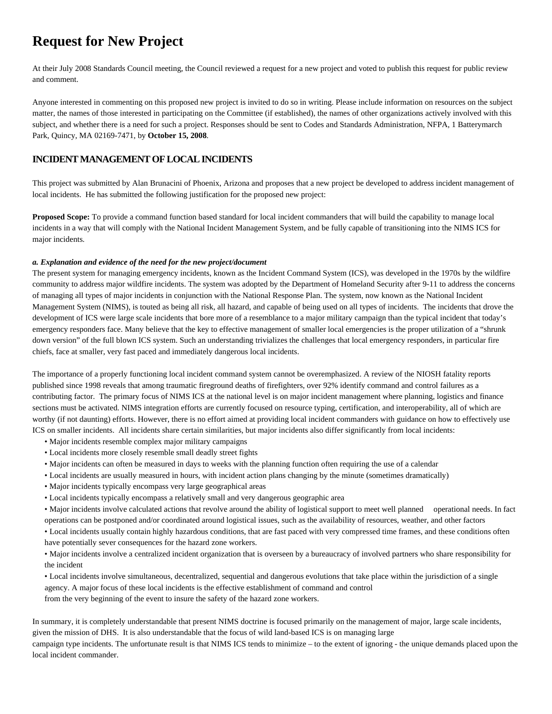# **Request for New Project**

At their July 2008 Standards Council meeting, the Council reviewed a request for a new project and voted to publish this request for public review and comment.

Anyone interested in commenting on this proposed new project is invited to do so in writing. Please include information on resources on the subject matter, the names of those interested in participating on the Committee (if established), the names of other organizations actively involved with this subject, and whether there is a need for such a project. Responses should be sent to Codes and Standards Administration, NFPA, 1 Batterymarch Park, Quincy, MA 02169-7471, by **October 15, 2008**.

# **INCIDENT MANAGEMENT OF LOCAL INCIDENTS**

This project was submitted by Alan Brunacini of Phoenix, Arizona and proposes that a new project be developed to address incident management of local incidents. He has submitted the following justification for the proposed new project:

**Proposed Scope:** To provide a command function based standard for local incident commanders that will build the capability to manage local incidents in a way that will comply with the National Incident Management System, and be fully capable of transitioning into the NIMS ICS for major incidents.

### *a. Explanation and evidence of the need for the new project/document*

The present system for managing emergency incidents, known as the Incident Command System (ICS), was developed in the 1970s by the wildfire community to address major wildfire incidents. The system was adopted by the Department of Homeland Security after 9-11 to address the concerns of managing all types of major incidents in conjunction with the National Response Plan. The system, now known as the National Incident Management System (NIMS), is touted as being all risk, all hazard, and capable of being used on all types of incidents. The incidents that drove the development of ICS were large scale incidents that bore more of a resemblance to a major military campaign than the typical incident that today's emergency responders face. Many believe that the key to effective management of smaller local emergencies is the proper utilization of a "shrunk down version" of the full blown ICS system. Such an understanding trivializes the challenges that local emergency responders, in particular fire chiefs, face at smaller, very fast paced and immediately dangerous local incidents.

The importance of a properly functioning local incident command system cannot be overemphasized. A review of the NIOSH fatality reports published since 1998 reveals that among traumatic fireground deaths of firefighters, over 92% identify command and control failures as a contributing factor. The primary focus of NIMS ICS at the national level is on major incident management where planning, logistics and finance sections must be activated. NIMS integration efforts are currently focused on resource typing, certification, and interoperability, all of which are worthy (if not daunting) efforts. However, there is no effort aimed at providing local incident commanders with guidance on how to effectively use ICS on smaller incidents. All incidents share certain similarities, but major incidents also differ significantly from local incidents:

- Major incidents resemble complex major military campaigns
- Local incidents more closely resemble small deadly street fights
- Major incidents can often be measured in days to weeks with the planning function often requiring the use of a calendar
- Local incidents are usually measured in hours, with incident action plans changing by the minute (sometimes dramatically)
- Major incidents typically encompass very large geographical areas
- Local incidents typically encompass a relatively small and very dangerous geographic area

• Major incidents involve calculated actions that revolve around the ability of logistical support to meet well planned operational needs. In fact operations can be postponed and/or coordinated around logistical issues, such as the availability of resources, weather, and other factors

• Local incidents usually contain highly hazardous conditions, that are fast paced with very compressed time frames, and these conditions often have potentially sever consequences for the hazard zone workers.

• Major incidents involve a centralized incident organization that is overseen by a bureaucracy of involved partners who share responsibility for the incident

• Local incidents involve simultaneous, decentralized, sequential and dangerous evolutions that take place within the jurisdiction of a single agency. A major focus of these local incidents is the effective establishment of command and control

from the very beginning of the event to insure the safety of the hazard zone workers.

In summary, it is completely understandable that present NIMS doctrine is focused primarily on the management of major, large scale incidents, given the mission of DHS. It is also understandable that the focus of wild land-based ICS is on managing large

campaign type incidents. The unfortunate result is that NIMS ICS tends to minimize – to the extent of ignoring - the unique demands placed upon the local incident commander.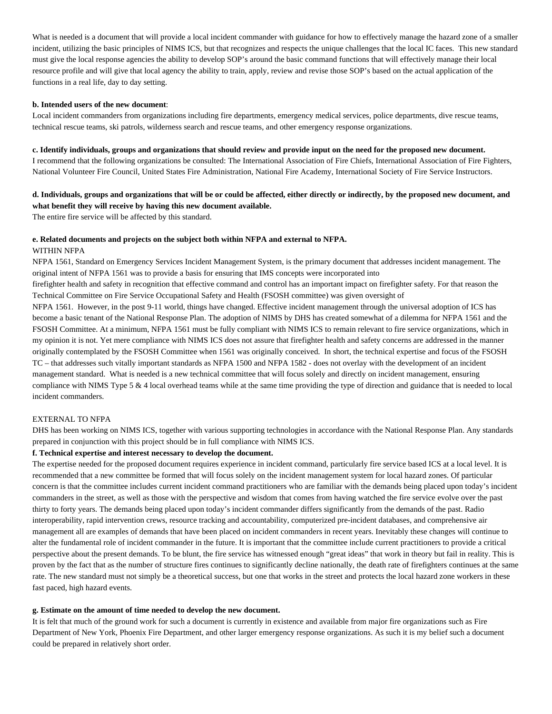What is needed is a document that will provide a local incident commander with guidance for how to effectively manage the hazard zone of a smaller incident, utilizing the basic principles of NIMS ICS, but that recognizes and respects the unique challenges that the local IC faces. This new standard must give the local response agencies the ability to develop SOP's around the basic command functions that will effectively manage their local resource profile and will give that local agency the ability to train, apply, review and revise those SOP's based on the actual application of the functions in a real life, day to day setting.

#### **b. Intended users of the new document**:

Local incident commanders from organizations including fire departments, emergency medical services, police departments, dive rescue teams, technical rescue teams, ski patrols, wilderness search and rescue teams, and other emergency response organizations.

#### **c. Identify individuals, groups and organizations that should review and provide input on the need for the proposed new document.**

I recommend that the following organizations be consulted: The International Association of Fire Chiefs, International Association of Fire Fighters, National Volunteer Fire Council, United States Fire Administration, National Fire Academy, International Society of Fire Service Instructors.

# **d. Individuals, groups and organizations that will be or could be affected, either directly or indirectly, by the proposed new document, and what benefit they will receive by having this new document available.**

The entire fire service will be affected by this standard.

#### **e. Related documents and projects on the subject both within NFPA and external to NFPA.**

#### WITHIN NFPA

NFPA 1561, Standard on Emergency Services Incident Management System, is the primary document that addresses incident management. The original intent of NFPA 1561 was to provide a basis for ensuring that IMS concepts were incorporated into

firefighter health and safety in recognition that effective command and control has an important impact on firefighter safety. For that reason the Technical Committee on Fire Service Occupational Safety and Health (FSOSH committee) was given oversight of

NFPA 1561. However, in the post 9-11 world, things have changed. Effective incident management through the universal adoption of ICS has become a basic tenant of the National Response Plan. The adoption of NIMS by DHS has created somewhat of a dilemma for NFPA 1561 and the FSOSH Committee. At a minimum, NFPA 1561 must be fully compliant with NIMS ICS to remain relevant to fire service organizations, which in my opinion it is not. Yet mere compliance with NIMS ICS does not assure that firefighter health and safety concerns are addressed in the manner originally contemplated by the FSOSH Committee when 1561 was originally conceived. In short, the technical expertise and focus of the FSOSH TC – that addresses such vitally important standards as NFPA 1500 and NFPA 1582 - does not overlay with the development of an incident management standard. What is needed is a new technical committee that will focus solely and directly on incident management, ensuring compliance with NIMS Type 5  $&$  4 local overhead teams while at the same time providing the type of direction and guidance that is needed to local incident commanders.

#### EXTERNAL TO NFPA

DHS has been working on NIMS ICS, together with various supporting technologies in accordance with the National Response Plan. Any standards prepared in conjunction with this project should be in full compliance with NIMS ICS.

#### **f. Technical expertise and interest necessary to develop the document.**

The expertise needed for the proposed document requires experience in incident command, particularly fire service based ICS at a local level. It is recommended that a new committee be formed that will focus solely on the incident management system for local hazard zones. Of particular concern is that the committee includes current incident command practitioners who are familiar with the demands being placed upon today's incident commanders in the street, as well as those with the perspective and wisdom that comes from having watched the fire service evolve over the past thirty to forty years. The demands being placed upon today's incident commander differs significantly from the demands of the past. Radio interoperability, rapid intervention crews, resource tracking and accountability, computerized pre-incident databases, and comprehensive air management all are examples of demands that have been placed on incident commanders in recent years. Inevitably these changes will continue to alter the fundamental role of incident commander in the future. It is important that the committee include current practitioners to provide a critical perspective about the present demands. To be blunt, the fire service has witnessed enough "great ideas" that work in theory but fail in reality. This is proven by the fact that as the number of structure fires continues to significantly decline nationally, the death rate of firefighters continues at the same rate. The new standard must not simply be a theoretical success, but one that works in the street and protects the local hazard zone workers in these fast paced, high hazard events.

#### **g. Estimate on the amount of time needed to develop the new document.**

It is felt that much of the ground work for such a document is currently in existence and available from major fire organizations such as Fire Department of New York, Phoenix Fire Department, and other larger emergency response organizations. As such it is my belief such a document could be prepared in relatively short order.